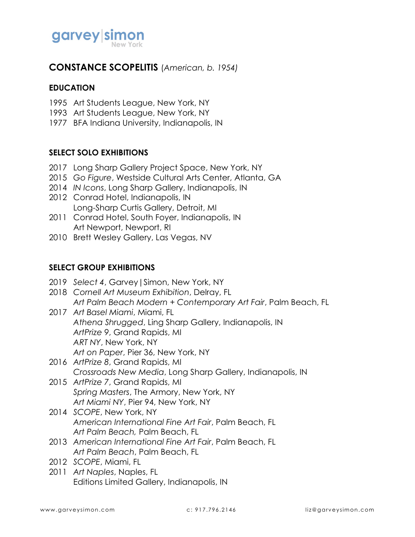

## **CONSTANCE SCOPELITIS** (*American, b. 1954)*

### **EDUCATION**

- 1995 Art Students League, New York, NY
- 1993 Art Students League, New York, NY
- 1977 BFA Indiana University, Indianapolis, IN

### **SELECT SOLO EXHIBITIONS**

- 2017 Long Sharp Gallery Project Space, New York, NY
- 2015 *Go Figure*, Westside Cultural Arts Center, Atlanta, GA
- 2014 *IN Icons*, Long Sharp Gallery, Indianapolis, IN
- 2012 Conrad Hotel, Indianapolis, IN Long-Sharp Curtis Gallery, Detroit, MI
- 2011 Conrad Hotel, South Foyer, Indianapolis, IN Art Newport, Newport, RI
- 2010 Brett Wesley Gallery, Las Vegas, NV

#### **SELECT GROUP EXHIBITIONS**

- 2019 *Select 4*, Garvey|Simon, New York, NY 2018 *Cornell Art Museum Exhibition*, Delray, FL *Art Palm Beach Modern + Contemporary Art Fair*, Palm Beach, FL 2017 *Art Basel Miami*, Miami, FL *Athena Shrugged*, Ling Sharp Gallery, Indianapolis, IN *ArtPrize 9*, Grand Rapids, MI *ART NY*, New York, NY *Art on Paper*, Pier 36, New York, NY 2016 *ArtPrize 8*, Grand Rapids, MI *Crossroads New Media*, Long Sharp Gallery, Indianapolis, IN 2015 *ArtPrize 7*, Grand Rapids, MI *Spring Masters*, The Armory, New York, NY *Art Miami NY*, Pier 94, New York, NY 2014 *SCOPE*, New York, NY *American International Fine Art Fair*, Palm Beach, FL *Art Palm Beach,* Palm Beach, FL 2013 *American International Fine Art Fair*, Palm Beach, FL
	- *Art Palm Beach*, Palm Beach, FL
- 2012 *SCOPE*, Miami, FL
- 2011 *Art Naples*, Naples, FL Editions Limited Gallery, Indianapolis, IN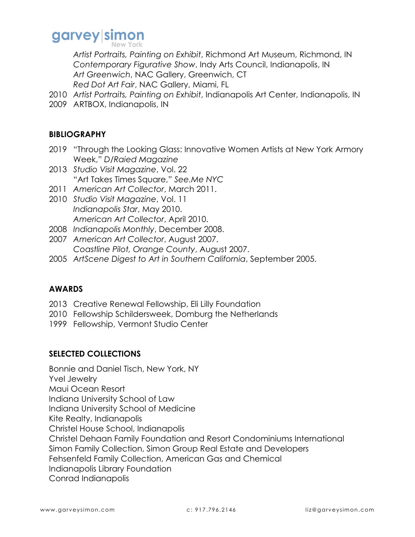# garvey simon

*Artist Portraits, Painting on Exhibit*, Richmond Art Museum, Richmond, IN *Contemporary Figurative Show*, Indy Arts Council, Indianapolis, IN *Art Greenwich*, NAC Gallery, Greenwich, CT *Red Dot Art Fair*, NAC Gallery, Miami, FL

- 2010 *Artist Portraits, Painting on Exhibit*, Indianapolis Art Center, Indianapolis, IN
- 2009 ARTBOX, Indianapolis, IN

### **BIBLIOGRAPHY**

- 2019 "Through the Looking Glass: Innovative Women Artists at New York Armory Week," *D/Raied Magazine*
- 2013 *Studio Visit Magazine*, Vol. 22 "Art Takes Times Square," *See.Me NYC*
- 2011 *American Art Collector*, March 2011.
- 2010 *Studio Visit Magazine*, Vol. 11 *Indianapolis Star*, May 2010. *American Art Collector*, April 2010.
- 2008 *Indianapolis Monthly*, December 2008.
- 2007 *American Art Collector*, August 2007. *Coastline Pilot, Orange County*, August 2007.
- 2005 *ArtScene Digest to Art in Southern California*, September 2005.

### **AWARDS**

- 2013 Creative Renewal Fellowship, Eli Lilly Foundation
- 2010 Fellowship Schildersweek, Domburg the Netherlands
- 1999 Fellowship, Vermont Studio Center

### **SELECTED COLLECTIONS**

Bonnie and Daniel Tisch, New York, NY Yvel Jewelry Maui Ocean Resort Indiana University School of Law Indiana University School of Medicine Kite Realty, Indianapolis Christel House School, Indianapolis Christel Dehaan Family Foundation and Resort Condominiums International Simon Family Collection, Simon Group Real Estate and Developers Fehsenfeld Family Collection, American Gas and Chemical Indianapolis Library Foundation Conrad Indianapolis